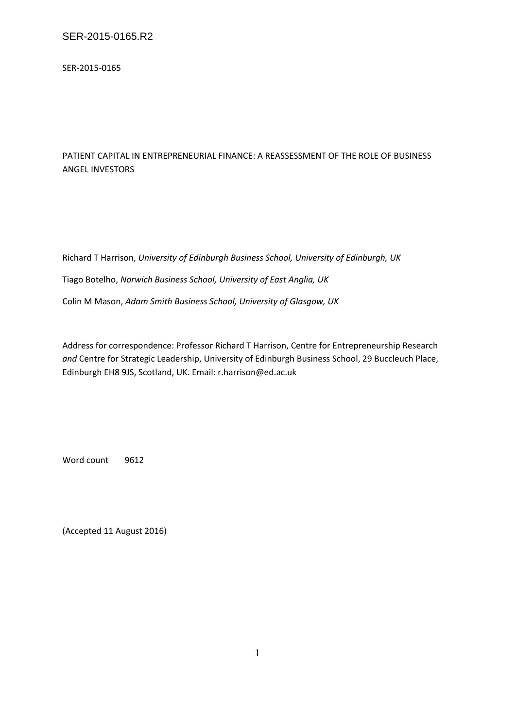SER-2015-0165

PATIENT CAPITAL IN ENTREPRENEURIAL FINANCE: A REASSESSMENT OF THE ROLE OF BUSINESS ANGEL INVESTORS

Richard T Harrison, *University of Edinburgh Business School, University of Edinburgh, UK*

Tiago Botelho, *Norwich Business School, University of East Anglia, UK* 

Colin M Mason, *Adam Smith Business School, University of Glasgow, UK*

Address for correspondence: Professor Richard T Harrison, Centre for Entrepreneurship Research *and* Centre for Strategic Leadership, University of Edinburgh Business School, 29 Buccleuch Place, Edinburgh EH8 9JS, Scotland, UK. Email: r.harrison@ed.ac.uk

Word count 9612

(Accepted 11 August 2016)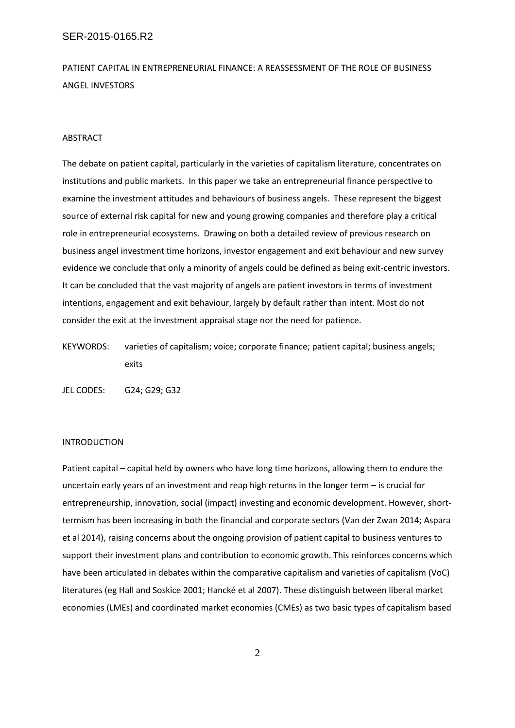PATIENT CAPITAL IN ENTREPRENEURIAL FINANCE: A REASSESSMENT OF THE ROLE OF BUSINESS ANGEL INVESTORS

#### ABSTRACT

The debate on patient capital, particularly in the varieties of capitalism literature, concentrates on institutions and public markets. In this paper we take an entrepreneurial finance perspective to examine the investment attitudes and behaviours of business angels. These represent the biggest source of external risk capital for new and young growing companies and therefore play a critical role in entrepreneurial ecosystems. Drawing on both a detailed review of previous research on business angel investment time horizons, investor engagement and exit behaviour and new survey evidence we conclude that only a minority of angels could be defined as being exit-centric investors. It can be concluded that the vast majority of angels are patient investors in terms of investment intentions, engagement and exit behaviour, largely by default rather than intent. Most do not consider the exit at the investment appraisal stage nor the need for patience.

KEYWORDS: varieties of capitalism; voice; corporate finance; patient capital; business angels; exits

JEL CODES: G24; G29; G32

# INTRODUCTION

Patient capital – capital held by owners who have long time horizons, allowing them to endure the uncertain early years of an investment and reap high returns in the longer term – is crucial for entrepreneurship, innovation, social (impact) investing and economic development. However, shorttermism has been increasing in both the financial and corporate sectors (Van der Zwan 2014; Aspara et al 2014), raising concerns about the ongoing provision of patient capital to business ventures to support their investment plans and contribution to economic growth. This reinforces concerns which have been articulated in debates within the comparative capitalism and varieties of capitalism (VoC) literatures (eg Hall and Soskice 2001; Hancké et al 2007). These distinguish between liberal market economies (LMEs) and coordinated market economies (CMEs) as two basic types of capitalism based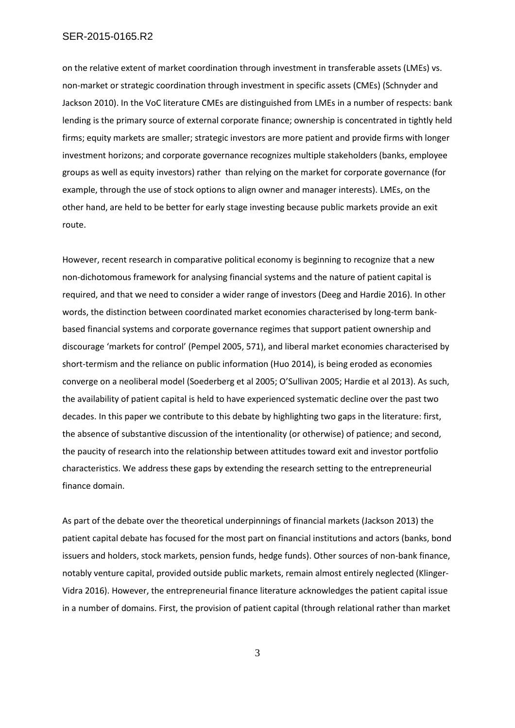on the relative extent of market coordination through investment in transferable assets (LMEs) vs. non-market or strategic coordination through investment in specific assets (CMEs) (Schnyder and Jackson 2010). In the VoC literature CMEs are distinguished from LMEs in a number of respects: bank lending is the primary source of external corporate finance; ownership is concentrated in tightly held firms; equity markets are smaller; strategic investors are more patient and provide firms with longer investment horizons; and corporate governance recognizes multiple stakeholders (banks, employee groups as well as equity investors) rather than relying on the market for corporate governance (for example, through the use of stock options to align owner and manager interests). LMEs, on the other hand, are held to be better for early stage investing because public markets provide an exit route.

However, recent research in comparative political economy is beginning to recognize that a new non-dichotomous framework for analysing financial systems and the nature of patient capital is required, and that we need to consider a wider range of investors (Deeg and Hardie 2016). In other words, the distinction between coordinated market economies characterised by long-term bankbased financial systems and corporate governance regimes that support patient ownership and discourage 'markets for control' (Pempel 2005, 571), and liberal market economies characterised by short-termism and the reliance on public information (Huo 2014), is being eroded as economies converge on a neoliberal model (Soederberg et al 2005; O'Sullivan 2005; Hardie et al 2013). As such, the availability of patient capital is held to have experienced systematic decline over the past two decades. In this paper we contribute to this debate by highlighting two gaps in the literature: first, the absence of substantive discussion of the intentionality (or otherwise) of patience; and second, the paucity of research into the relationship between attitudes toward exit and investor portfolio characteristics. We address these gaps by extending the research setting to the entrepreneurial finance domain.

As part of the debate over the theoretical underpinnings of financial markets (Jackson 2013) the patient capital debate has focused for the most part on financial institutions and actors (banks, bond issuers and holders, stock markets, pension funds, hedge funds). Other sources of non-bank finance, notably venture capital, provided outside public markets, remain almost entirely neglected (Klinger-Vidra 2016). However, the entrepreneurial finance literature acknowledges the patient capital issue in a number of domains. First, the provision of patient capital (through relational rather than market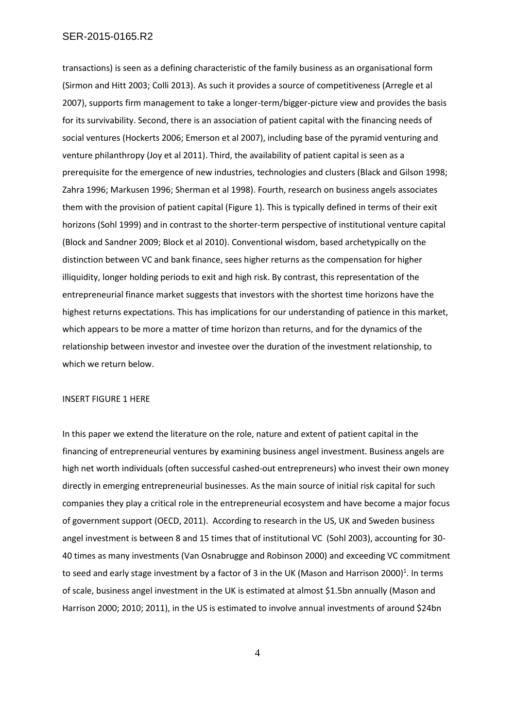transactions) is seen as a defining characteristic of the family business as an organisational form (Sirmon and Hitt 2003; Colli 2013). As such it provides a source of competitiveness (Arregle et al 2007), supports firm management to take a longer-term/bigger-picture view and provides the basis for its survivability. Second, there is an association of patient capital with the financing needs of social ventures (Hockerts 2006; Emerson et al 2007), including base of the pyramid venturing and venture philanthropy (Joy et al 2011). Third, the availability of patient capital is seen as a prerequisite for the emergence of new industries, technologies and clusters (Black and Gilson 1998; Zahra 1996; Markusen 1996; Sherman et al 1998). Fourth, research on business angels associates them with the provision of patient capital (Figure 1). This is typically defined in terms of their exit horizons (Sohl 1999) and in contrast to the shorter-term perspective of institutional venture capital (Block and Sandner 2009; Block et al 2010). Conventional wisdom, based archetypically on the distinction between VC and bank finance, sees higher returns as the compensation for higher illiquidity, longer holding periods to exit and high risk. By contrast, this representation of the entrepreneurial finance market suggests that investors with the shortest time horizons have the highest returns expectations. This has implications for our understanding of patience in this market, which appears to be more a matter of time horizon than returns, and for the dynamics of the relationship between investor and investee over the duration of the investment relationship, to which we return below.

### INSERT FIGURE 1 HERE

In this paper we extend the literature on the role, nature and extent of patient capital in the financing of entrepreneurial ventures by examining business angel investment. Business angels are high net worth individuals (often successful cashed-out entrepreneurs) who invest their own money directly in emerging entrepreneurial businesses. As the main source of initial risk capital for such companies they play a critical role in the entrepreneurial ecosystem and have become a major focus of government support (OECD, 2011). According to research in the US, UK and Sweden business angel investment is between 8 and 15 times that of institutional VC (Sohl 2003), accounting for 30- 40 times as many investments (Van Osnabrugge and Robinson 2000) and exceeding VC commitment to seed and early stage investment by a factor of 3 in the UK (Mason and Harrison 2000)<sup>1</sup>. In terms of scale, business angel investment in the UK is estimated at almost \$1.5bn annually (Mason and Harrison 2000; 2010; 2011), in the US is estimated to involve annual investments of around \$24bn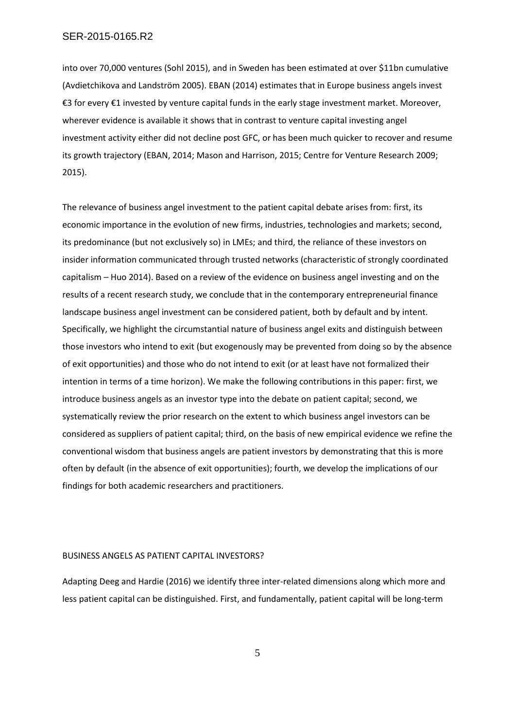into over 70,000 ventures (Sohl 2015), and in Sweden has been estimated at over \$11bn cumulative (Avdietchikova and Landström 2005). EBAN (2014) estimates that in Europe business angels invest €3 for every €1 invested by venture capital funds in the early stage investment market. Moreover, wherever evidence is available it shows that in contrast to venture capital investing angel investment activity either did not decline post GFC, or has been much quicker to recover and resume its growth trajectory (EBAN, 2014; Mason and Harrison, 2015; Centre for Venture Research 2009; 2015).

The relevance of business angel investment to the patient capital debate arises from: first, its economic importance in the evolution of new firms, industries, technologies and markets; second, its predominance (but not exclusively so) in LMEs; and third, the reliance of these investors on insider information communicated through trusted networks (characteristic of strongly coordinated capitalism – Huo 2014). Based on a review of the evidence on business angel investing and on the results of a recent research study, we conclude that in the contemporary entrepreneurial finance landscape business angel investment can be considered patient, both by default and by intent. Specifically, we highlight the circumstantial nature of business angel exits and distinguish between those investors who intend to exit (but exogenously may be prevented from doing so by the absence of exit opportunities) and those who do not intend to exit (or at least have not formalized their intention in terms of a time horizon). We make the following contributions in this paper: first, we introduce business angels as an investor type into the debate on patient capital; second, we systematically review the prior research on the extent to which business angel investors can be considered as suppliers of patient capital; third, on the basis of new empirical evidence we refine the conventional wisdom that business angels are patient investors by demonstrating that this is more often by default (in the absence of exit opportunities); fourth, we develop the implications of our findings for both academic researchers and practitioners.

#### BUSINESS ANGELS AS PATIENT CAPITAL INVESTORS?

Adapting Deeg and Hardie (2016) we identify three inter-related dimensions along which more and less patient capital can be distinguished. First, and fundamentally, patient capital will be long-term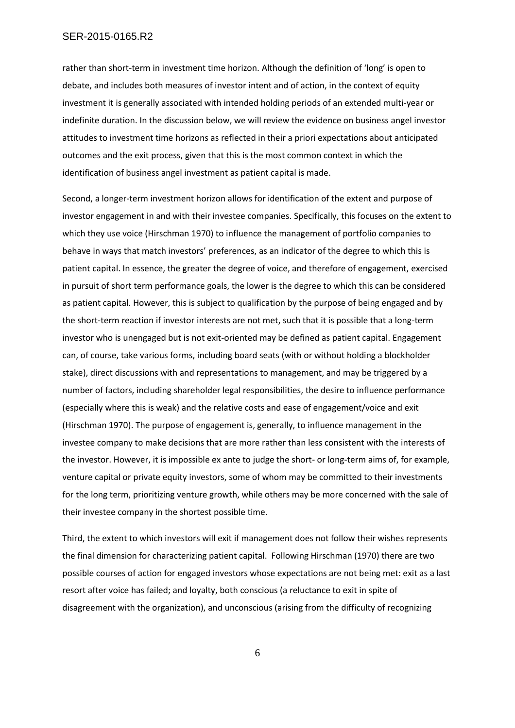rather than short-term in investment time horizon. Although the definition of 'long' is open to debate, and includes both measures of investor intent and of action, in the context of equity investment it is generally associated with intended holding periods of an extended multi-year or indefinite duration. In the discussion below, we will review the evidence on business angel investor attitudes to investment time horizons as reflected in their a priori expectations about anticipated outcomes and the exit process, given that this is the most common context in which the identification of business angel investment as patient capital is made.

Second, a longer-term investment horizon allows for identification of the extent and purpose of investor engagement in and with their investee companies. Specifically, this focuses on the extent to which they use voice (Hirschman 1970) to influence the management of portfolio companies to behave in ways that match investors' preferences, as an indicator of the degree to which this is patient capital. In essence, the greater the degree of voice, and therefore of engagement, exercised in pursuit of short term performance goals, the lower is the degree to which this can be considered as patient capital. However, this is subject to qualification by the purpose of being engaged and by the short-term reaction if investor interests are not met, such that it is possible that a long-term investor who is unengaged but is not exit-oriented may be defined as patient capital. Engagement can, of course, take various forms, including board seats (with or without holding a blockholder stake), direct discussions with and representations to management, and may be triggered by a number of factors, including shareholder legal responsibilities, the desire to influence performance (especially where this is weak) and the relative costs and ease of engagement/voice and exit (Hirschman 1970). The purpose of engagement is, generally, to influence management in the investee company to make decisions that are more rather than less consistent with the interests of the investor. However, it is impossible ex ante to judge the short- or long-term aims of, for example, venture capital or private equity investors, some of whom may be committed to their investments for the long term, prioritizing venture growth, while others may be more concerned with the sale of their investee company in the shortest possible time.

Third, the extent to which investors will exit if management does not follow their wishes represents the final dimension for characterizing patient capital. Following Hirschman (1970) there are two possible courses of action for engaged investors whose expectations are not being met: exit as a last resort after voice has failed; and loyalty, both conscious (a reluctance to exit in spite of disagreement with the organization), and unconscious (arising from the difficulty of recognizing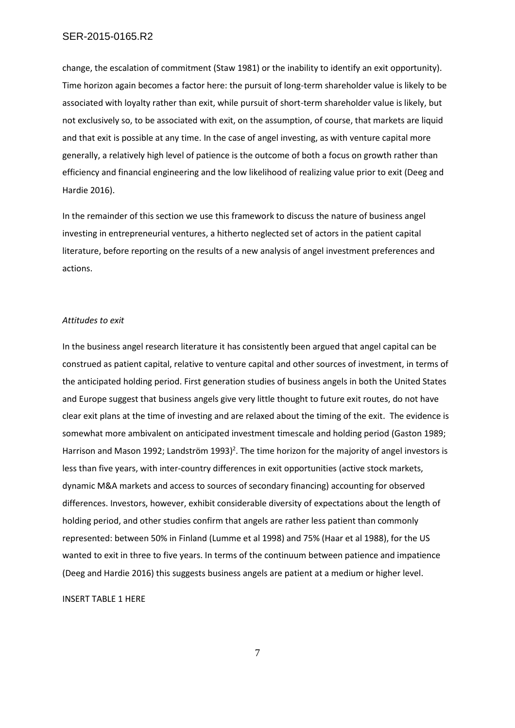change, the escalation of commitment (Staw 1981) or the inability to identify an exit opportunity). Time horizon again becomes a factor here: the pursuit of long-term shareholder value is likely to be associated with loyalty rather than exit, while pursuit of short-term shareholder value is likely, but not exclusively so, to be associated with exit, on the assumption, of course, that markets are liquid and that exit is possible at any time. In the case of angel investing, as with venture capital more generally, a relatively high level of patience is the outcome of both a focus on growth rather than efficiency and financial engineering and the low likelihood of realizing value prior to exit (Deeg and Hardie 2016).

In the remainder of this section we use this framework to discuss the nature of business angel investing in entrepreneurial ventures, a hitherto neglected set of actors in the patient capital literature, before reporting on the results of a new analysis of angel investment preferences and actions.

## *Attitudes to exit*

In the business angel research literature it has consistently been argued that angel capital can be construed as patient capital, relative to venture capital and other sources of investment, in terms of the anticipated holding period. First generation studies of business angels in both the United States and Europe suggest that business angels give very little thought to future exit routes, do not have clear exit plans at the time of investing and are relaxed about the timing of the exit. The evidence is somewhat more ambivalent on anticipated investment timescale and holding period (Gaston 1989; Harrison and Mason 1992; Landström 1993)<sup>2</sup>. The time horizon for the majority of angel investors is less than five years, with inter-country differences in exit opportunities (active stock markets, dynamic M&A markets and access to sources of secondary financing) accounting for observed differences. Investors, however, exhibit considerable diversity of expectations about the length of holding period, and other studies confirm that angels are rather less patient than commonly represented: between 50% in Finland (Lumme et al 1998) and 75% (Haar et al 1988), for the US wanted to exit in three to five years. In terms of the continuum between patience and impatience (Deeg and Hardie 2016) this suggests business angels are patient at a medium or higher level.

INSERT TABLE 1 HERE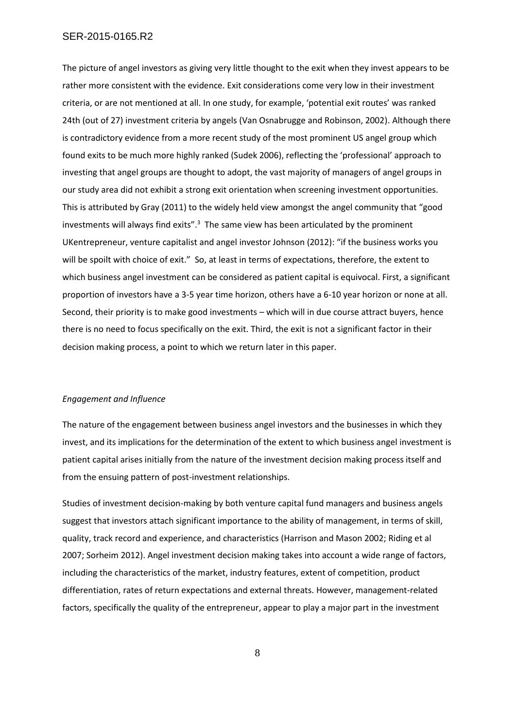The picture of angel investors as giving very little thought to the exit when they invest appears to be rather more consistent with the evidence. Exit considerations come very low in their investment criteria, or are not mentioned at all. In one study, for example, 'potential exit routes' was ranked 24th (out of 27) investment criteria by angels (Van Osnabrugge and Robinson, 2002). Although there is contradictory evidence from a more recent study of the most prominent US angel group which found exits to be much more highly ranked (Sudek 2006), reflecting the 'professional' approach to investing that angel groups are thought to adopt, the vast majority of managers of angel groups in our study area did not exhibit a strong exit orientation when screening investment opportunities. This is attributed by Gray (2011) to the widely held view amongst the angel community that "good investments will always find exits".<sup>3</sup> The same view has been articulated by the prominent UKentrepreneur, venture capitalist and angel investor Johnson (2012): "if the business works you will be spoilt with choice of exit." So, at least in terms of expectations, therefore, the extent to which business angel investment can be considered as patient capital is equivocal. First, a significant proportion of investors have a 3-5 year time horizon, others have a 6-10 year horizon or none at all. Second, their priority is to make good investments – which will in due course attract buyers, hence there is no need to focus specifically on the exit. Third, the exit is not a significant factor in their decision making process, a point to which we return later in this paper.

## *Engagement and Influence*

The nature of the engagement between business angel investors and the businesses in which they invest, and its implications for the determination of the extent to which business angel investment is patient capital arises initially from the nature of the investment decision making process itself and from the ensuing pattern of post-investment relationships.

Studies of investment decision-making by both venture capital fund managers and business angels suggest that investors attach significant importance to the ability of management, in terms of skill, quality, track record and experience, and characteristics (Harrison and Mason 2002; Riding et al 2007; Sorheim 2012). Angel investment decision making takes into account a wide range of factors, including the characteristics of the market, industry features, extent of competition, product differentiation, rates of return expectations and external threats. However, management-related factors, specifically the quality of the entrepreneur, appear to play a major part in the investment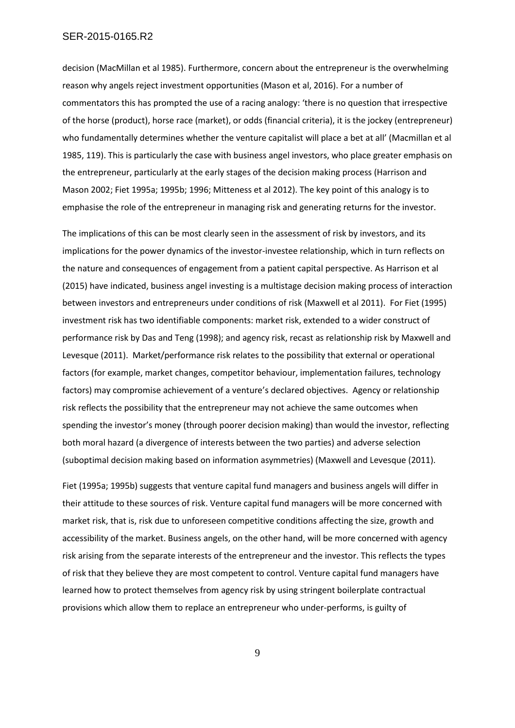decision (MacMillan et al 1985). Furthermore, concern about the entrepreneur is the overwhelming reason why angels reject investment opportunities (Mason et al, 2016). For a number of commentators this has prompted the use of a racing analogy: 'there is no question that irrespective of the horse (product), horse race (market), or odds (financial criteria), it is the jockey (entrepreneur) who fundamentally determines whether the venture capitalist will place a bet at all' (Macmillan et al 1985, 119). This is particularly the case with business angel investors, who place greater emphasis on the entrepreneur, particularly at the early stages of the decision making process (Harrison and Mason 2002; Fiet 1995a; 1995b; 1996; Mitteness et al 2012). The key point of this analogy is to emphasise the role of the entrepreneur in managing risk and generating returns for the investor.

The implications of this can be most clearly seen in the assessment of risk by investors, and its implications for the power dynamics of the investor-investee relationship, which in turn reflects on the nature and consequences of engagement from a patient capital perspective. As Harrison et al (2015) have indicated, business angel investing is a multistage decision making process of interaction between investors and entrepreneurs under conditions of risk (Maxwell et al 2011). For Fiet (1995) investment risk has two identifiable components: market risk, extended to a wider construct of performance risk by Das and Teng (1998); and agency risk, recast as relationship risk by Maxwell and Levesque (2011). Market/performance risk relates to the possibility that external or operational factors (for example, market changes, competitor behaviour, implementation failures, technology factors) may compromise achievement of a venture's declared objectives. Agency or relationship risk reflects the possibility that the entrepreneur may not achieve the same outcomes when spending the investor's money (through poorer decision making) than would the investor, reflecting both moral hazard (a divergence of interests between the two parties) and adverse selection (suboptimal decision making based on information asymmetries) (Maxwell and Levesque (2011).

Fiet (1995a; 1995b) suggests that venture capital fund managers and business angels will differ in their attitude to these sources of risk. Venture capital fund managers will be more concerned with market risk, that is, risk due to unforeseen competitive conditions affecting the size, growth and accessibility of the market. Business angels, on the other hand, will be more concerned with agency risk arising from the separate interests of the entrepreneur and the investor. This reflects the types of risk that they believe they are most competent to control. Venture capital fund managers have learned how to protect themselves from agency risk by using stringent boilerplate contractual provisions which allow them to replace an entrepreneur who under-performs, is guilty of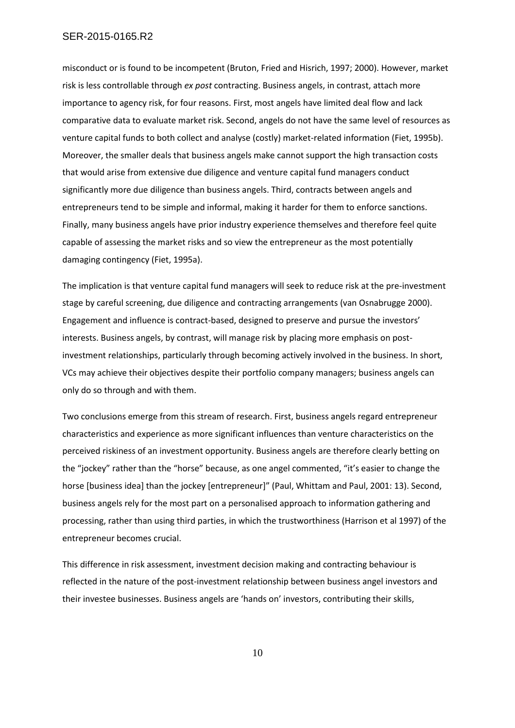misconduct or is found to be incompetent (Bruton, Fried and Hisrich, 1997; 2000). However, market risk is less controllable through *ex post* contracting. Business angels, in contrast, attach more importance to agency risk, for four reasons. First, most angels have limited deal flow and lack comparative data to evaluate market risk. Second, angels do not have the same level of resources as venture capital funds to both collect and analyse (costly) market-related information (Fiet, 1995b). Moreover, the smaller deals that business angels make cannot support the high transaction costs that would arise from extensive due diligence and venture capital fund managers conduct significantly more due diligence than business angels. Third, contracts between angels and entrepreneurs tend to be simple and informal, making it harder for them to enforce sanctions. Finally, many business angels have prior industry experience themselves and therefore feel quite capable of assessing the market risks and so view the entrepreneur as the most potentially damaging contingency (Fiet, 1995a).

The implication is that venture capital fund managers will seek to reduce risk at the pre-investment stage by careful screening, due diligence and contracting arrangements (van Osnabrugge 2000). Engagement and influence is contract-based, designed to preserve and pursue the investors' interests. Business angels, by contrast, will manage risk by placing more emphasis on postinvestment relationships, particularly through becoming actively involved in the business. In short, VCs may achieve their objectives despite their portfolio company managers; business angels can only do so through and with them.

Two conclusions emerge from this stream of research. First, business angels regard entrepreneur characteristics and experience as more significant influences than venture characteristics on the perceived riskiness of an investment opportunity. Business angels are therefore clearly betting on the "jockey" rather than the "horse" because, as one angel commented, "it's easier to change the horse [business idea] than the jockey [entrepreneur]" (Paul, Whittam and Paul, 2001: 13). Second, business angels rely for the most part on a personalised approach to information gathering and processing, rather than using third parties, in which the trustworthiness (Harrison et al 1997) of the entrepreneur becomes crucial.

This difference in risk assessment, investment decision making and contracting behaviour is reflected in the nature of the post-investment relationship between business angel investors and their investee businesses. Business angels are 'hands on' investors, contributing their skills,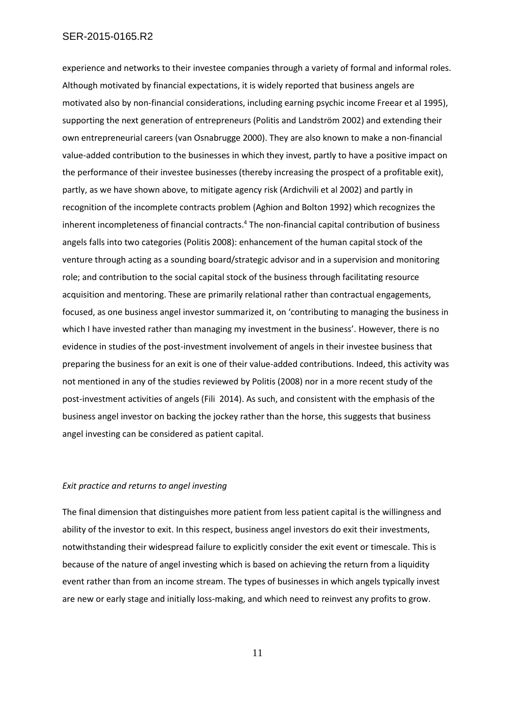experience and networks to their investee companies through a variety of formal and informal roles. Although motivated by financial expectations, it is widely reported that business angels are motivated also by non-financial considerations, including earning psychic income Freear et al 1995), supporting the next generation of entrepreneurs (Politis and Landström 2002) and extending their own entrepreneurial careers (van Osnabrugge 2000). They are also known to make a non-financial value-added contribution to the businesses in which they invest, partly to have a positive impact on the performance of their investee businesses (thereby increasing the prospect of a profitable exit), partly, as we have shown above, to mitigate agency risk (Ardichvili et al 2002) and partly in recognition of the incomplete contracts problem (Aghion and Bolton 1992) which recognizes the inherent incompleteness of financial contracts.<sup>4</sup> The non-financial capital contribution of business angels falls into two categories (Politis 2008): enhancement of the human capital stock of the venture through acting as a sounding board/strategic advisor and in a supervision and monitoring role; and contribution to the social capital stock of the business through facilitating resource acquisition and mentoring. These are primarily relational rather than contractual engagements, focused, as one business angel investor summarized it, on 'contributing to managing the business in which I have invested rather than managing my investment in the business'. However, there is no evidence in studies of the post-investment involvement of angels in their investee business that preparing the business for an exit is one of their value-added contributions. Indeed, this activity was not mentioned in any of the studies reviewed by Politis (2008) nor in a more recent study of the post-investment activities of angels (Fili 2014). As such, and consistent with the emphasis of the business angel investor on backing the jockey rather than the horse, this suggests that business angel investing can be considered as patient capital.

### *Exit practice and returns to angel investing*

The final dimension that distinguishes more patient from less patient capital is the willingness and ability of the investor to exit. In this respect, business angel investors do exit their investments, notwithstanding their widespread failure to explicitly consider the exit event or timescale. This is because of the nature of angel investing which is based on achieving the return from a liquidity event rather than from an income stream. The types of businesses in which angels typically invest are new or early stage and initially loss-making, and which need to reinvest any profits to grow.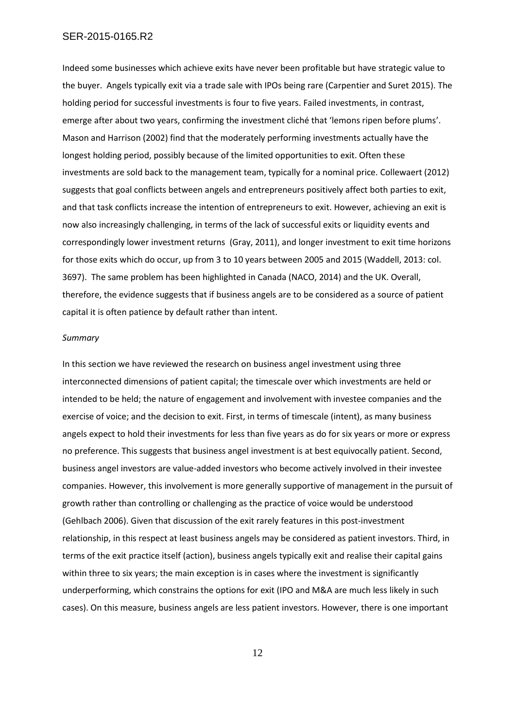Indeed some businesses which achieve exits have never been profitable but have strategic value to the buyer. Angels typically exit via a trade sale with IPOs being rare (Carpentier and Suret 2015). The holding period for successful investments is four to five years. Failed investments, in contrast, emerge after about two years, confirming the investment cliché that 'lemons ripen before plums'. Mason and Harrison (2002) find that the moderately performing investments actually have the longest holding period, possibly because of the limited opportunities to exit. Often these investments are sold back to the management team, typically for a nominal price. Collewaert (2012) suggests that goal conflicts between angels and entrepreneurs positively affect both parties to exit, and that task conflicts increase the intention of entrepreneurs to exit. However, achieving an exit is now also increasingly challenging, in terms of the lack of successful exits or liquidity events and correspondingly lower investment returns (Gray, 2011), and longer investment to exit time horizons for those exits which do occur, up from 3 to 10 years between 2005 and 2015 (Waddell, 2013: col. 3697). The same problem has been highlighted in Canada (NACO, 2014) and the UK. Overall, therefore, the evidence suggests that if business angels are to be considered as a source of patient capital it is often patience by default rather than intent.

# *Summary*

In this section we have reviewed the research on business angel investment using three interconnected dimensions of patient capital; the timescale over which investments are held or intended to be held; the nature of engagement and involvement with investee companies and the exercise of voice; and the decision to exit. First, in terms of timescale (intent), as many business angels expect to hold their investments for less than five years as do for six years or more or express no preference. This suggests that business angel investment is at best equivocally patient. Second, business angel investors are value-added investors who become actively involved in their investee companies. However, this involvement is more generally supportive of management in the pursuit of growth rather than controlling or challenging as the practice of voice would be understood (Gehlbach 2006). Given that discussion of the exit rarely features in this post-investment relationship, in this respect at least business angels may be considered as patient investors. Third, in terms of the exit practice itself (action), business angels typically exit and realise their capital gains within three to six years; the main exception is in cases where the investment is significantly underperforming, which constrains the options for exit (IPO and M&A are much less likely in such cases). On this measure, business angels are less patient investors. However, there is one important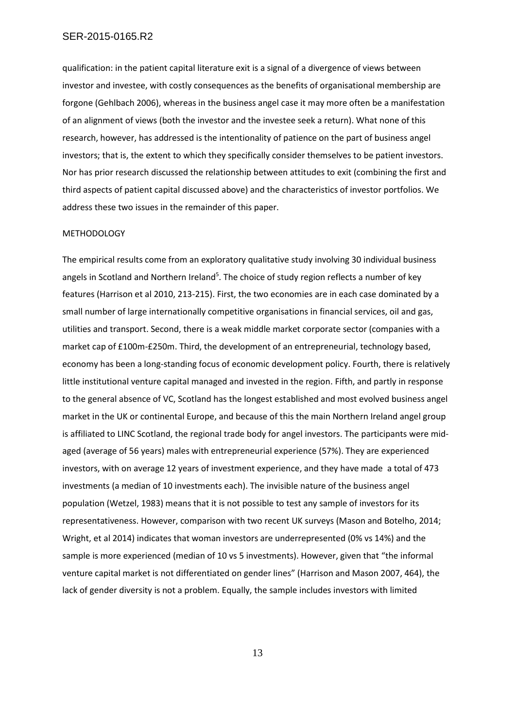qualification: in the patient capital literature exit is a signal of a divergence of views between investor and investee, with costly consequences as the benefits of organisational membership are forgone (Gehlbach 2006), whereas in the business angel case it may more often be a manifestation of an alignment of views (both the investor and the investee seek a return). What none of this research, however, has addressed is the intentionality of patience on the part of business angel investors; that is, the extent to which they specifically consider themselves to be patient investors. Nor has prior research discussed the relationship between attitudes to exit (combining the first and third aspects of patient capital discussed above) and the characteristics of investor portfolios. We address these two issues in the remainder of this paper.

# **METHODOLOGY**

The empirical results come from an exploratory qualitative study involving 30 individual business angels in Scotland and Northern Ireland<sup>5</sup>. The choice of study region reflects a number of key features (Harrison et al 2010, 213-215). First, the two economies are in each case dominated by a small number of large internationally competitive organisations in financial services, oil and gas, utilities and transport. Second, there is a weak middle market corporate sector (companies with a market cap of £100m-£250m. Third, the development of an entrepreneurial, technology based, economy has been a long-standing focus of economic development policy. Fourth, there is relatively little institutional venture capital managed and invested in the region. Fifth, and partly in response to the general absence of VC, Scotland has the longest established and most evolved business angel market in the UK or continental Europe, and because of this the main Northern Ireland angel group is affiliated to LINC Scotland, the regional trade body for angel investors. The participants were midaged (average of 56 years) males with entrepreneurial experience (57%). They are experienced investors, with on average 12 years of investment experience, and they have made a total of 473 investments (a median of 10 investments each). The invisible nature of the business angel population (Wetzel, 1983) means that it is not possible to test any sample of investors for its representativeness. However, comparison with two recent UK surveys (Mason and Botelho, 2014; Wright, et al 2014) indicates that woman investors are underrepresented (0% vs 14%) and the sample is more experienced (median of 10 vs 5 investments). However, given that "the informal venture capital market is not differentiated on gender lines" (Harrison and Mason 2007, 464), the lack of gender diversity is not a problem. Equally, the sample includes investors with limited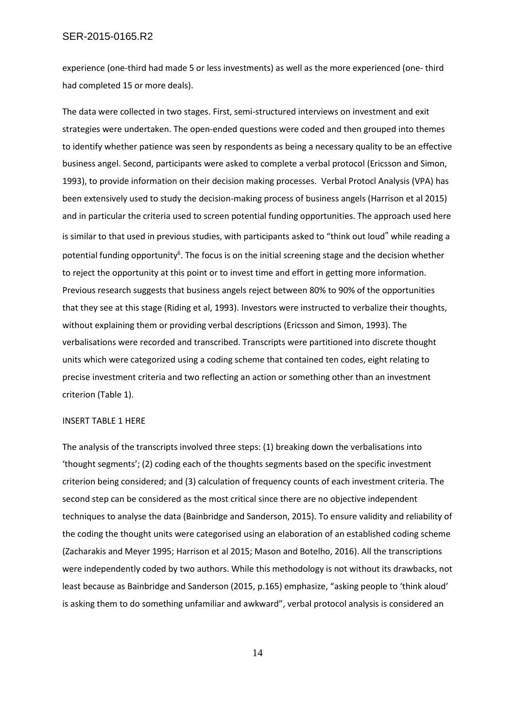experience (one-third had made 5 or less investments) as well as the more experienced (one- third had completed 15 or more deals).

The data were collected in two stages. First, semi-structured interviews on investment and exit strategies were undertaken. The open-ended questions were coded and then grouped into themes to identify whether patience was seen by respondents as being a necessary quality to be an effective business angel. Second, participants were asked to complete a verbal protocol (Ericsson and Simon, 1993), to provide information on their decision making processes. Verbal Protocl Analysis (VPA) has been extensively used to study the decision-making process of business angels (Harrison et al 2015) and in particular the criteria used to screen potential funding opportunities. The approach used here is similar to that used in previous studies, with participants asked to "think out loud" while reading a potential funding opportunity<sup>6</sup>. The focus is on the initial screening stage and the decision whether to reject the opportunity at this point or to invest time and effort in getting more information. Previous research suggests that business angels reject between 80% to 90% of the opportunities that they see at this stage (Riding et al, 1993). Investors were instructed to verbalize their thoughts, without explaining them or providing verbal descriptions (Ericsson and Simon, 1993). The verbalisations were recorded and transcribed. Transcripts were partitioned into discrete thought units which were categorized using a coding scheme that contained ten codes, eight relating to precise investment criteria and two reflecting an action or something other than an investment criterion (Table 1).

# INSERT TABLE 1 HERE

The analysis of the transcripts involved three steps: (1) breaking down the verbalisations into 'thought segments'; (2) coding each of the thoughts segments based on the specific investment criterion being considered; and (3) calculation of frequency counts of each investment criteria. The second step can be considered as the most critical since there are no objective independent techniques to analyse the data (Bainbridge and Sanderson, 2015). To ensure validity and reliability of the coding the thought units were categorised using an elaboration of an established coding scheme (Zacharakis and Meyer 1995; Harrison et al 2015; Mason and Botelho, 2016). All the transcriptions were independently coded by two authors. While this methodology is not without its drawbacks, not least because as Bainbridge and Sanderson (2015, p.165) emphasize, "asking people to 'think aloud' is asking them to do something unfamiliar and awkward", verbal protocol analysis is considered an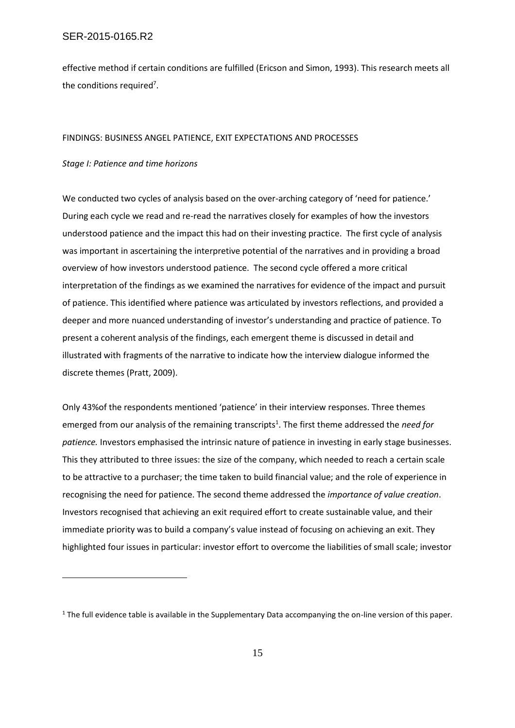effective method if certain conditions are fulfilled (Ericson and Simon, 1993). This research meets all the conditions required<sup>7</sup>.

#### FINDINGS: BUSINESS ANGEL PATIENCE, EXIT EXPECTATIONS AND PROCESSES

#### *Stage I: Patience and time horizons*

 $\overline{a}$ 

We conducted two cycles of analysis based on the over-arching category of 'need for patience.' During each cycle we read and re-read the narratives closely for examples of how the investors understood patience and the impact this had on their investing practice. The first cycle of analysis was important in ascertaining the interpretive potential of the narratives and in providing a broad overview of how investors understood patience. The second cycle offered a more critical interpretation of the findings as we examined the narratives for evidence of the impact and pursuit of patience. This identified where patience was articulated by investors reflections, and provided a deeper and more nuanced understanding of investor's understanding and practice of patience. To present a coherent analysis of the findings, each emergent theme is discussed in detail and illustrated with fragments of the narrative to indicate how the interview dialogue informed the discrete themes (Pratt, 2009).

Only 43%of the respondents mentioned 'patience' in their interview responses. Three themes emerged from our analysis of the remaining transcripts<sup>1</sup>. The first theme addressed the *need for patience.* Investors emphasised the intrinsic nature of patience in investing in early stage businesses. This they attributed to three issues: the size of the company, which needed to reach a certain scale to be attractive to a purchaser; the time taken to build financial value; and the role of experience in recognising the need for patience. The second theme addressed the *importance of value creation*. Investors recognised that achieving an exit required effort to create sustainable value, and their immediate priority was to build a company's value instead of focusing on achieving an exit. They highlighted four issues in particular: investor effort to overcome the liabilities of small scale; investor

 $1$  The full evidence table is available in the Supplementary Data accompanying the on-line version of this paper.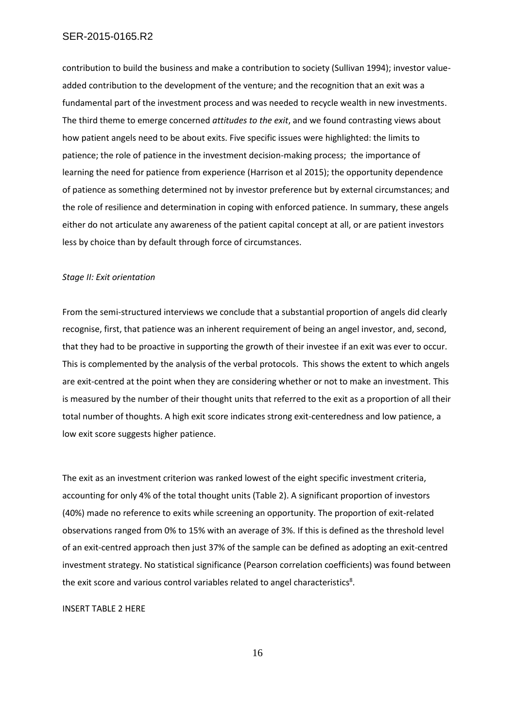contribution to build the business and make a contribution to society (Sullivan 1994); investor valueadded contribution to the development of the venture; and the recognition that an exit was a fundamental part of the investment process and was needed to recycle wealth in new investments. The third theme to emerge concerned *attitudes to the exit*, and we found contrasting views about how patient angels need to be about exits. Five specific issues were highlighted: the limits to patience; the role of patience in the investment decision-making process; the importance of learning the need for patience from experience (Harrison et al 2015); the opportunity dependence of patience as something determined not by investor preference but by external circumstances; and the role of resilience and determination in coping with enforced patience. In summary, these angels either do not articulate any awareness of the patient capital concept at all, or are patient investors less by choice than by default through force of circumstances.

#### *Stage II: Exit orientation*

From the semi-structured interviews we conclude that a substantial proportion of angels did clearly recognise, first, that patience was an inherent requirement of being an angel investor, and, second, that they had to be proactive in supporting the growth of their investee if an exit was ever to occur. This is complemented by the analysis of the verbal protocols. This shows the extent to which angels are exit-centred at the point when they are considering whether or not to make an investment. This is measured by the number of their thought units that referred to the exit as a proportion of all their total number of thoughts. A high exit score indicates strong exit-centeredness and low patience, a low exit score suggests higher patience.

The exit as an investment criterion was ranked lowest of the eight specific investment criteria, accounting for only 4% of the total thought units (Table 2). A significant proportion of investors (40%) made no reference to exits while screening an opportunity. The proportion of exit-related observations ranged from 0% to 15% with an average of 3%. If this is defined as the threshold level of an exit-centred approach then just 37% of the sample can be defined as adopting an exit-centred investment strategy. No statistical significance (Pearson correlation coefficients) was found between the exit score and various control variables related to angel characteristics<sup>8</sup>.

## INSERT TABLE 2 HERE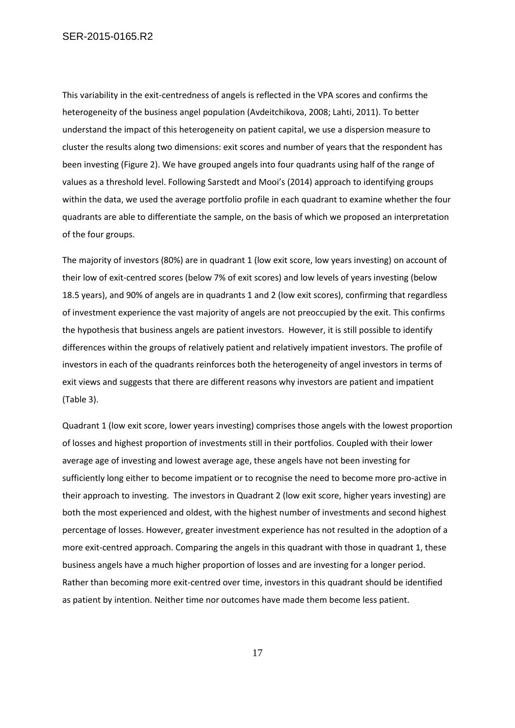This variability in the exit-centredness of angels is reflected in the VPA scores and confirms the heterogeneity of the business angel population (Avdeitchikova, 2008; Lahti, 2011). To better understand the impact of this heterogeneity on patient capital, we use a dispersion measure to cluster the results along two dimensions: exit scores and number of years that the respondent has been investing (Figure 2). We have grouped angels into four quadrants using half of the range of values as a threshold level. Following Sarstedt and Mooi's (2014) approach to identifying groups within the data, we used the average portfolio profile in each quadrant to examine whether the four quadrants are able to differentiate the sample, on the basis of which we proposed an interpretation of the four groups.

The majority of investors (80%) are in quadrant 1 (low exit score, low years investing) on account of their low of exit-centred scores (below 7% of exit scores) and low levels of years investing (below 18.5 years), and 90% of angels are in quadrants 1 and 2 (low exit scores), confirming that regardless of investment experience the vast majority of angels are not preoccupied by the exit. This confirms the hypothesis that business angels are patient investors. However, it is still possible to identify differences within the groups of relatively patient and relatively impatient investors. The profile of investors in each of the quadrants reinforces both the heterogeneity of angel investors in terms of exit views and suggests that there are different reasons why investors are patient and impatient (Table 3).

Quadrant 1 (low exit score, lower years investing) comprises those angels with the lowest proportion of losses and highest proportion of investments still in their portfolios. Coupled with their lower average age of investing and lowest average age, these angels have not been investing for sufficiently long either to become impatient or to recognise the need to become more pro-active in their approach to investing. The investors in Quadrant 2 (low exit score, higher years investing) are both the most experienced and oldest, with the highest number of investments and second highest percentage of losses. However, greater investment experience has not resulted in the adoption of a more exit-centred approach. Comparing the angels in this quadrant with those in quadrant 1, these business angels have a much higher proportion of losses and are investing for a longer period. Rather than becoming more exit-centred over time, investors in this quadrant should be identified as patient by intention. Neither time nor outcomes have made them become less patient.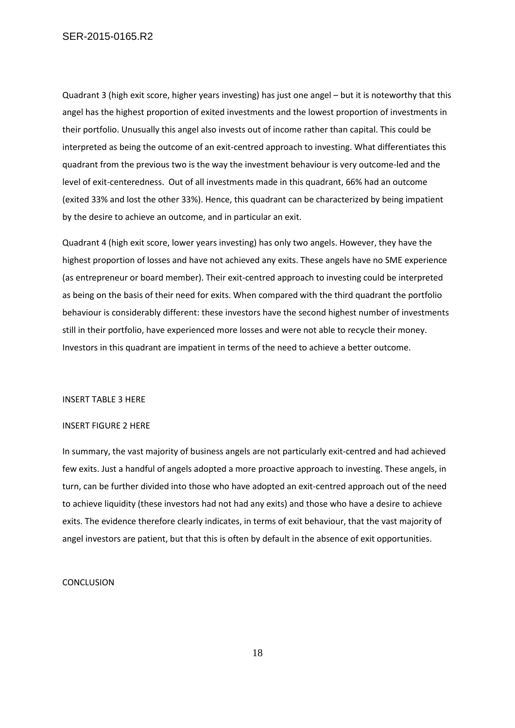Quadrant 3 (high exit score, higher years investing) has just one angel – but it is noteworthy that this angel has the highest proportion of exited investments and the lowest proportion of investments in their portfolio. Unusually this angel also invests out of income rather than capital. This could be interpreted as being the outcome of an exit-centred approach to investing. What differentiates this quadrant from the previous two is the way the investment behaviour is very outcome-led and the level of exit-centeredness. Out of all investments made in this quadrant, 66% had an outcome (exited 33% and lost the other 33%). Hence, this quadrant can be characterized by being impatient by the desire to achieve an outcome, and in particular an exit.

Quadrant 4 (high exit score, lower years investing) has only two angels. However, they have the highest proportion of losses and have not achieved any exits. These angels have no SME experience (as entrepreneur or board member). Their exit-centred approach to investing could be interpreted as being on the basis of their need for exits. When compared with the third quadrant the portfolio behaviour is considerably different: these investors have the second highest number of investments still in their portfolio, have experienced more losses and were not able to recycle their money. Investors in this quadrant are impatient in terms of the need to achieve a better outcome.

#### INSERT TABLE 3 HERE

#### INSERT FIGURE 2 HERE

In summary, the vast majority of business angels are not particularly exit-centred and had achieved few exits. Just a handful of angels adopted a more proactive approach to investing. These angels, in turn, can be further divided into those who have adopted an exit-centred approach out of the need to achieve liquidity (these investors had not had any exits) and those who have a desire to achieve exits. The evidence therefore clearly indicates, in terms of exit behaviour, that the vast majority of angel investors are patient, but that this is often by default in the absence of exit opportunities.

# CONCLUSION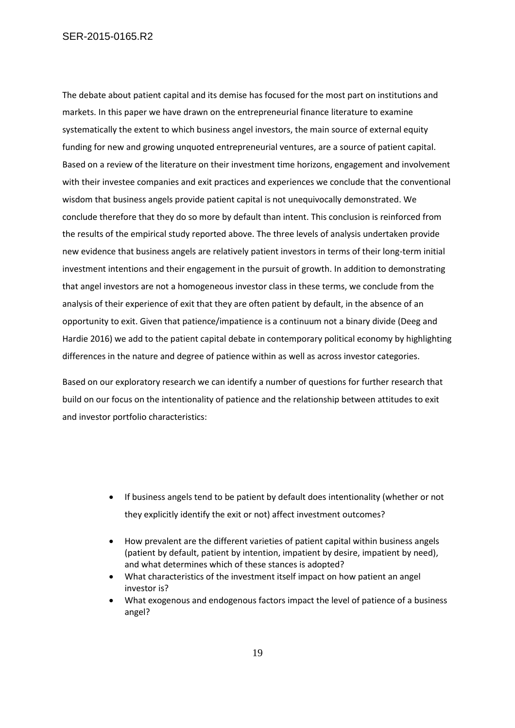The debate about patient capital and its demise has focused for the most part on institutions and markets. In this paper we have drawn on the entrepreneurial finance literature to examine systematically the extent to which business angel investors, the main source of external equity funding for new and growing unquoted entrepreneurial ventures, are a source of patient capital. Based on a review of the literature on their investment time horizons, engagement and involvement with their investee companies and exit practices and experiences we conclude that the conventional wisdom that business angels provide patient capital is not unequivocally demonstrated. We conclude therefore that they do so more by default than intent. This conclusion is reinforced from the results of the empirical study reported above. The three levels of analysis undertaken provide new evidence that business angels are relatively patient investors in terms of their long-term initial investment intentions and their engagement in the pursuit of growth. In addition to demonstrating that angel investors are not a homogeneous investor class in these terms, we conclude from the analysis of their experience of exit that they are often patient by default, in the absence of an opportunity to exit. Given that patience/impatience is a continuum not a binary divide (Deeg and Hardie 2016) we add to the patient capital debate in contemporary political economy by highlighting differences in the nature and degree of patience within as well as across investor categories.

Based on our exploratory research we can identify a number of questions for further research that build on our focus on the intentionality of patience and the relationship between attitudes to exit and investor portfolio characteristics:

- If business angels tend to be patient by default does intentionality (whether or not they explicitly identify the exit or not) affect investment outcomes?
- How prevalent are the different varieties of patient capital within business angels (patient by default, patient by intention, impatient by desire, impatient by need), and what determines which of these stances is adopted?
- What characteristics of the investment itself impact on how patient an angel investor is?
- What exogenous and endogenous factors impact the level of patience of a business angel?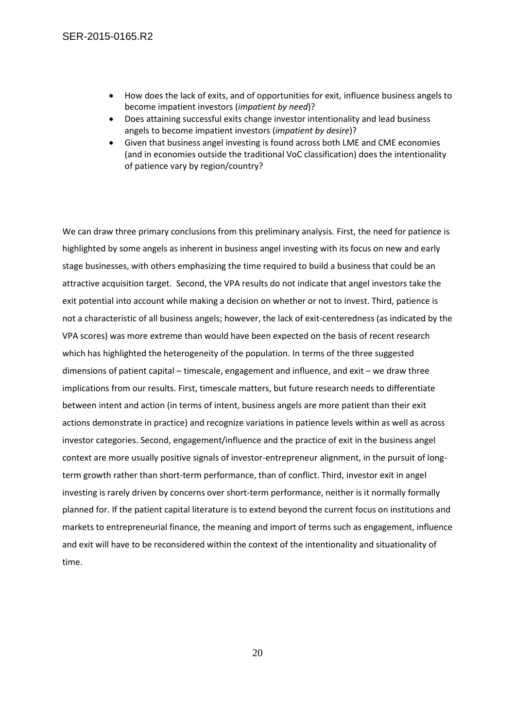- How does the lack of exits, and of opportunities for exit, influence business angels to become impatient investors (*impatient by need*)?
- Does attaining successful exits change investor intentionality and lead business angels to become impatient investors (*impatient by desire*)?
- Given that business angel investing is found across both LME and CME economies (and in economies outside the traditional VoC classification) does the intentionality of patience vary by region/country?

We can draw three primary conclusions from this preliminary analysis. First, the need for patience is highlighted by some angels as inherent in business angel investing with its focus on new and early stage businesses, with others emphasizing the time required to build a business that could be an attractive acquisition target. Second, the VPA results do not indicate that angel investors take the exit potential into account while making a decision on whether or not to invest. Third, patience is not a characteristic of all business angels; however, the lack of exit-centeredness (as indicated by the VPA scores) was more extreme than would have been expected on the basis of recent research which has highlighted the heterogeneity of the population. In terms of the three suggested dimensions of patient capital – timescale, engagement and influence, and exit – we draw three implications from our results. First, timescale matters, but future research needs to differentiate between intent and action (in terms of intent, business angels are more patient than their exit actions demonstrate in practice) and recognize variations in patience levels within as well as across investor categories. Second, engagement/influence and the practice of exit in the business angel context are more usually positive signals of investor-entrepreneur alignment, in the pursuit of longterm growth rather than short-term performance, than of conflict. Third, investor exit in angel investing is rarely driven by concerns over short-term performance, neither is it normally formally planned for. If the patient capital literature is to extend beyond the current focus on institutions and markets to entrepreneurial finance, the meaning and import of terms such as engagement, influence and exit will have to be reconsidered within the context of the intentionality and situationality of time.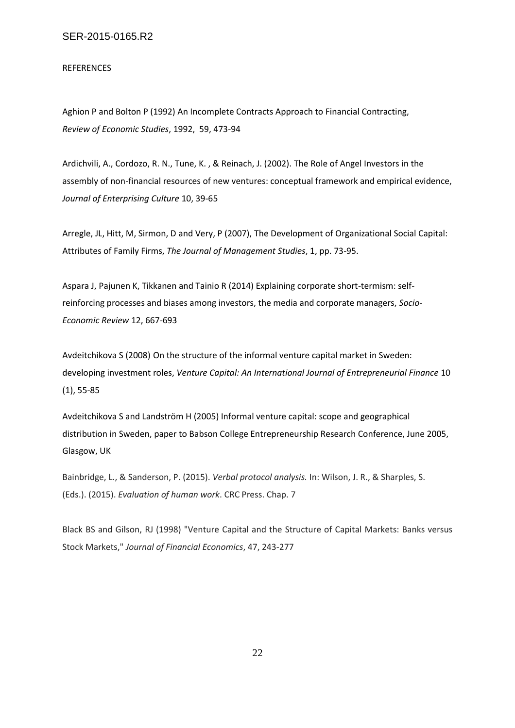#### REFERENCES

Aghion P and Bolton P (1992) An Incomplete Contracts Approach to Financial Contracting, *Review of Economic Studies*, 1992, 59, 473-94

Ardichvili, A., Cordozo, R. N., Tune, K. , & Reinach, J. (2002). The Role of Angel Investors in the assembly of non-financial resources of new ventures: conceptual framework and empirical evidence, *Journal of Enterprising Culture* 10, 39-65

Arregle, JL, Hitt, M, Sirmon, D and Very, P (2007), The Development of Organizational Social Capital: Attributes of Family Firms, *The Journal of Management Studies*, 1, pp. 73-95.

Aspara J, Pajunen K, Tikkanen and Tainio R (2014) Explaining corporate short-termism: selfreinforcing processes and biases among investors, the media and corporate managers, *Socio-Economic Review* 12, 667-693

Avdeitchikova S (2008) On the structure of the informal venture capital market in Sweden: developing investment roles, *Venture Capital: An International Journal of Entrepreneurial Finance* 10 (1), 55-85

Avdeitchikova S and Landström H (2005) Informal venture capital: scope and geographical distribution in Sweden, paper to Babson College Entrepreneurship Research Conference, June 2005, Glasgow, UK

Bainbridge, L., & Sanderson, P. (2015). *Verbal protocol analysis.* In: Wilson, J. R., & Sharples, S. (Eds.). (2015). *Evaluation of human work*. CRC Press. Chap. 7

Black BS and Gilson, RJ (1998) "Venture Capital and the Structure of Capital Markets: Banks versus Stock Markets," *Journal of Financial Economics*, 47, 243-277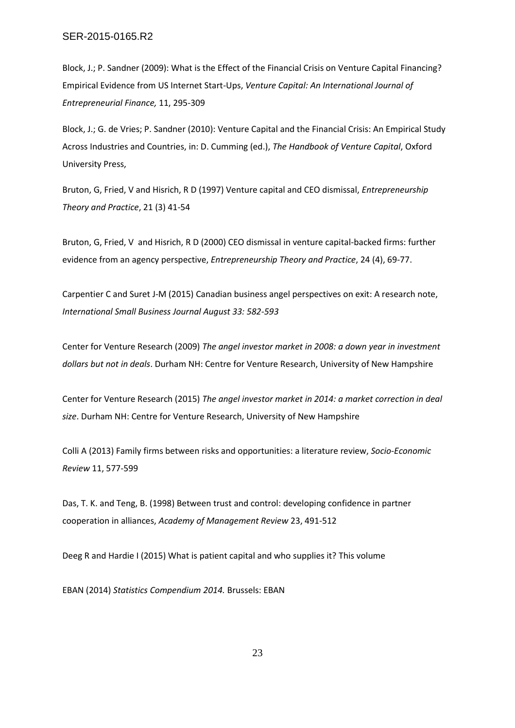Block, J.; P. Sandner (2009): What is the Effect of the Financial Crisis on Venture Capital Financing? Empirical Evidence from US Internet Start-Ups, *Venture Capital: An International Journal of Entrepreneurial Finance,* 11, 295-309

Block, J.; G. de Vries; P. Sandner (2010): Venture Capital and the Financial Crisis: An Empirical Study Across Industries and Countries, in: D. Cumming (ed.), *The Handbook of Venture Capital*, Oxford University Press,

Bruton, G, Fried, V and Hisrich, R D (1997) Venture capital and CEO dismissal, *Entrepreneurship Theory and Practice*, 21 (3) 41-54

Bruton, G, Fried, V and Hisrich, R D (2000) CEO dismissal in venture capital-backed firms: further evidence from an agency perspective, *Entrepreneurship Theory and Practice*, 24 (4), 69-77.

Carpentier C and Suret J-M (2015) Canadian business angel perspectives on exit: A research note, *International Small Business Journal August 33: 582-593*

Center for Venture Research (2009) *The angel investor market in 2008: a down year in investment dollars but not in deals*. Durham NH: Centre for Venture Research, University of New Hampshire

Center for Venture Research (2015) *The angel investor market in 2014: a market correction in deal size*. Durham NH: Centre for Venture Research, University of New Hampshire

Colli A (2013) Family firms between risks and opportunities: a literature review, *Socio-Economic Review* 11, 577-599

Das, T. K. and Teng, B. (1998) Between trust and control: developing confidence in partner cooperation in alliances, *Academy of Management Review* 23, 491-512

Deeg R and Hardie I (2015) What is patient capital and who supplies it? This volume

EBAN (2014) *Statistics Compendium 2014.* Brussels: EBAN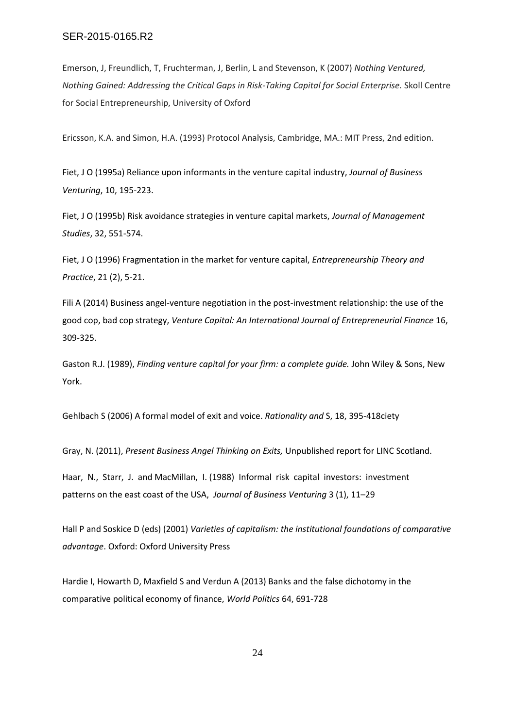Emerson, J, Freundlich, T, Fruchterman, J, Berlin, L and Stevenson, K (2007) *Nothing Ventured, Nothing Gained: Addressing the Critical Gaps in Risk-Taking Capital for Social Enterprise.* Skoll Centre for Social Entrepreneurship, University of Oxford

Ericsson, K.A. and Simon, H.A. (1993) Protocol Analysis, Cambridge, MA.: MIT Press, 2nd edition.

Fiet, J O (1995a) Reliance upon informants in the venture capital industry, *Journal of Business Venturing*, 10, 195-223.

Fiet, J O (1995b) Risk avoidance strategies in venture capital markets, *Journal of Management Studies*, 32, 551-574.

Fiet, J O (1996) Fragmentation in the market for venture capital, *Entrepreneurship Theory and Practice*, 21 (2), 5-21.

Fili A (2014) Business angel-venture negotiation in the post-investment relationship: the use of the good cop, bad cop strategy, *Venture Capital: An International Journal of Entrepreneurial Finance* 16, 309-325.

Gaston R.J. (1989), *Finding venture capital for your firm: a complete guide.* John Wiley & Sons, New York.

Gehlbach S (2006) A formal model of exit and voice. *Rationality and* S, 18, 395-418ciety

Gray, N. (2011), *Present Business Angel Thinking on Exits,* Unpublished report for LINC Scotland.

Haar, N., Starr, J. and MacMillan, I. (1988) Informal risk capital investors: investment patterns on the east coast of the USA, *Journal of Business Venturing* 3 (1), 11–29

Hall P and Soskice D (eds) (2001) *Varieties of capitalism: the institutional foundations of comparative advantage*. Oxford: Oxford University Press

Hardie I, Howarth D, Maxfield S and Verdun A (2013) Banks and the false dichotomy in the comparative political economy of finance, *World Politics* 64, 691-728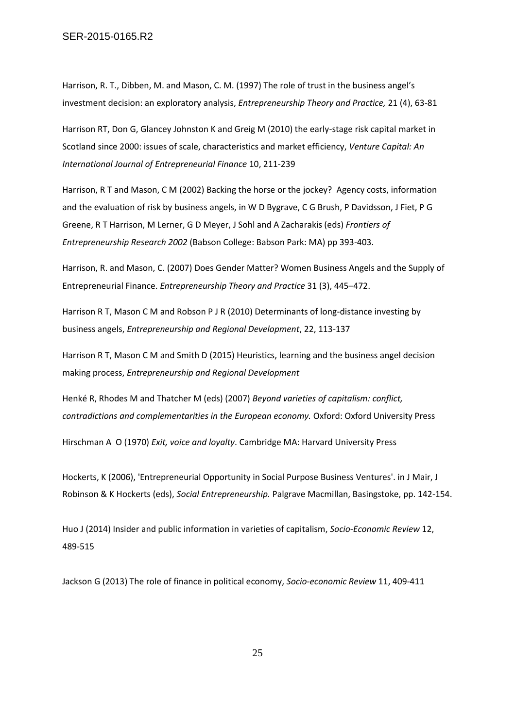Harrison, R. T., Dibben, M. and Mason, C. M. (1997) The role of trust in the business angel's investment decision: an exploratory analysis, *Entrepreneurship Theory and Practice,* 21 (4), 63-81

Harrison RT, Don G, Glancey Johnston K and Greig M (2010) the early-stage risk capital market in Scotland since 2000: issues of scale, characteristics and market efficiency, *Venture Capital: An International Journal of Entrepreneurial Finance* 10, 211-239

Harrison, R T and Mason, C M (2002) Backing the horse or the jockey? Agency costs, information and the evaluation of risk by business angels, in W D Bygrave, C G Brush, P Davidsson, J Fiet, P G Greene, R T Harrison, M Lerner, G D Meyer, J Sohl and A Zacharakis (eds) *Frontiers of Entrepreneurship Research 2002* (Babson College: Babson Park: MA) pp 393-403.

Harrison, R. and Mason, C. (2007) Does Gender Matter? Women Business Angels and the Supply of Entrepreneurial Finance. *Entrepreneurship Theory and Practice* 31 (3), 445–472.

Harrison R T, Mason C M and Robson P J R (2010) Determinants of long-distance investing by business angels, *Entrepreneurship and Regional Development*, 22, 113-137

Harrison R T, Mason C M and Smith D (2015) Heuristics, learning and the business angel decision making process, *Entrepreneurship and Regional Development*

Henké R, Rhodes M and Thatcher M (eds) (2007) *Beyond varieties of capitalism: conflict, contradictions and complementarities in the European economy.* Oxford: Oxford University Press

Hirschman A O (1970) *Exit, voice and loyalty*. Cambridge MA: Harvard University Press

Hockerts, K (2006), 'Entrepreneurial Opportunity in Social Purpose Business Ventures'. in J Mair, J Robinson & K Hockerts (eds), *Social Entrepreneurship.* Palgrave Macmillan, Basingstoke, pp. 142-154.

Huo J (2014) Insider and public information in varieties of capitalism, *Socio-Economic Review* 12, 489-515

Jackson G (2013) The role of finance in political economy, *Socio-economic Review* 11, 409-411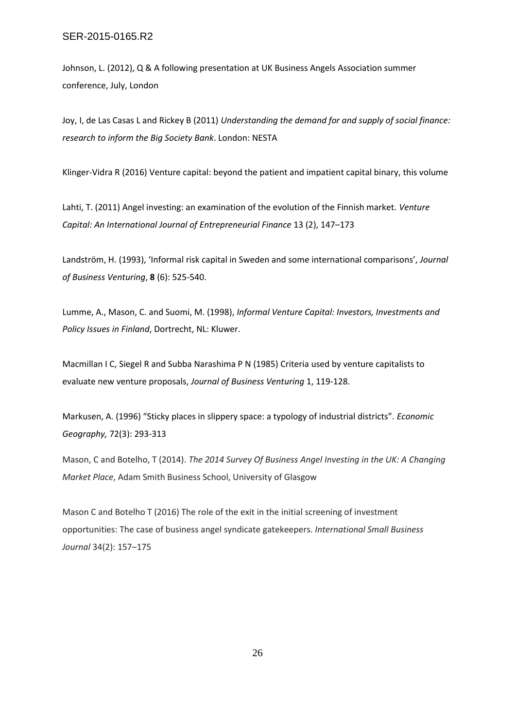Johnson, L. (2012), Q & A following presentation at UK Business Angels Association summer conference, July, London

Joy, I, de Las Casas L and Rickey B (2011) *Understanding the demand for and supply of social finance: research to inform the Big Society Bank*. London: NESTA

Klinger-Vidra R (2016) Venture capital: beyond the patient and impatient capital binary, this volume

Lahti, T. (2011) Angel investing: an examination of the evolution of the Finnish market. *Venture Capital: An International Journal of Entrepreneurial Finance* 13 (2), 147–173

Landström, H. (1993), 'Informal risk capital in Sweden and some international comparisons', *Journal of Business Venturing*, **8** (6): 525-540.

Lumme, A., Mason, C. and Suomi, M. (1998), *Informal Venture Capital: Investors, Investments and Policy Issues in Finland*, Dortrecht, NL: Kluwer.

Macmillan I C, Siegel R and Subba Narashima P N (1985) Criteria used by venture capitalists to evaluate new venture proposals, *Journal of Business Venturing* 1, 119-128.

Markusen, A. (1996) "Sticky places in slippery space: a typology of industrial districts". *Economic Geography,* 72(3): 293-313

Mason, C and Botelho, T (2014). *The 2014 Survey Of Business Angel Investing in the UK: A Changing Market Place*, Adam Smith Business School, University of Glasgow

Mason C and Botelho T (2016) The role of the exit in the initial screening of investment opportunities: The case of business angel syndicate gatekeepers. *International Small Business Journal* 34(2): 157–175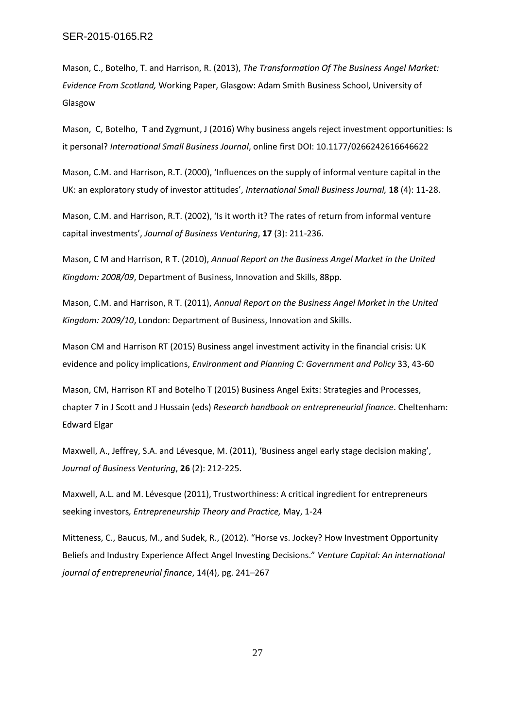Mason, C., Botelho, T. and Harrison, R. (2013), *The Transformation Of The Business Angel Market: Evidence From Scotland,* Working Paper, Glasgow: Adam Smith Business School, University of Glasgow

Mason, C, Botelho, T and Zygmunt, J (2016) Why business angels reject investment opportunities: Is it personal? *International Small Business Journal*, online first DOI: 10.1177/0266242616646622

Mason, C.M. and Harrison, R.T. (2000), 'Influences on the supply of informal venture capital in the UK: an exploratory study of investor attitudes', *International Small Business Journal,* **18** (4): 11-28.

Mason, C.M. and Harrison, R.T. (2002), 'Is it worth it? The rates of return from informal venture capital investments', *Journal of Business Venturing*, **17** (3): 211-236.

Mason, C M and Harrison, R T. (2010), *Annual Report on the Business Angel Market in the United Kingdom: 2008/09*, Department of Business, Innovation and Skills, 88pp.

Mason, C.M. and Harrison, R T. (2011), *Annual Report on the Business Angel Market in the United Kingdom: 2009/10*, London: Department of Business, Innovation and Skills.

Mason CM and Harrison RT (2015) Business angel investment activity in the financial crisis: UK evidence and policy implications, *Environment and Planning C: Government and Policy* 33, 43-60

Mason, CM, Harrison RT and Botelho T (2015) Business Angel Exits: Strategies and Processes, chapter 7 in J Scott and J Hussain (eds) *Research handbook on entrepreneurial finance*. Cheltenham: Edward Elgar

Maxwell, A., Jeffrey, S.A. and Lévesque, M. (2011), 'Business angel early stage decision making', *Journal of Business Venturing*, **26** (2): 212-225.

Maxwell, A.L. and M. Lévesque (2011), Trustworthiness: A critical ingredient for entrepreneurs seeking investors*, Entrepreneurship Theory and Practice,* May, 1-24

Mitteness, C., Baucus, M., and Sudek, R., (2012). "Horse vs. Jockey? How Investment Opportunity Beliefs and Industry Experience Affect Angel Investing Decisions." *Venture Capital: An international journal of entrepreneurial finance*, 14(4), pg. 241–267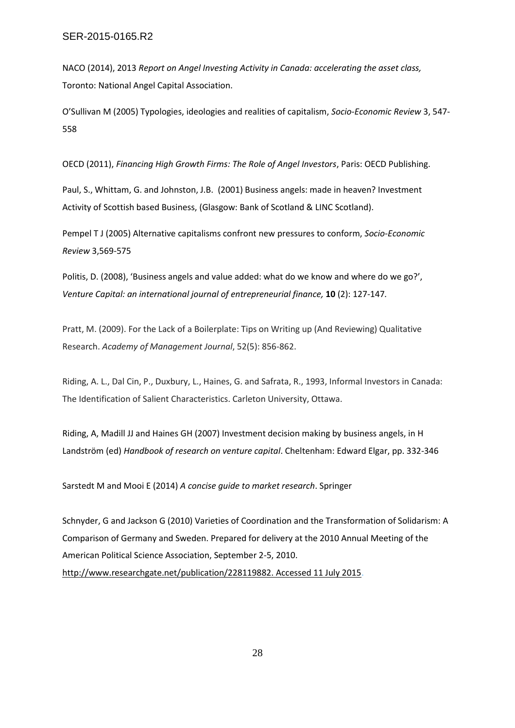NACO (2014), 2013 *Report on Angel Investing Activity in Canada: accelerating the asset class,* Toronto: National Angel Capital Association.

O'Sullivan M (2005) Typologies, ideologies and realities of capitalism, *Socio-Economic Review* 3, 547- 558

OECD (2011), *Financing High Growth Firms: The Role of Angel Investors*, Paris: OECD Publishing.

Paul, S., Whittam, G. and Johnston, J.B. (2001) Business angels: made in heaven? Investment Activity of Scottish based Business, (Glasgow: Bank of Scotland & LINC Scotland).

Pempel T J (2005) Alternative capitalisms confront new pressures to conform, *Socio-Economic Review* 3,569-575

Politis, D. (2008), 'Business angels and value added: what do we know and where do we go?', *Venture Capital: an international journal of entrepreneurial finance,* **10** (2): 127-147*.*

Pratt, M. (2009). For the Lack of a Boilerplate: Tips on Writing up (And Reviewing) Qualitative Research. *Academy of Management Journal*, 52(5): 856-862.

Riding, A. L., Dal Cin, P., Duxbury, L., Haines, G. and Safrata, R., 1993, Informal Investors in Canada: The Identification of Salient Characteristics. Carleton University, Ottawa.

Riding, A, Madill JJ and Haines GH (2007) Investment decision making by business angels, in H Landström (ed) *Handbook of research on venture capital*. Cheltenham: Edward Elgar, pp. 332-346

Sarstedt M and Mooi E (2014) *A concise guide to market research*. Springer

Schnyder, G and Jackson G (2010) Varieties of Coordination and the Transformation of Solidarism: A Comparison of Germany and Sweden. Prepared for delivery at the 2010 Annual Meeting of the American Political Science Association, September 2-5, 2010. [http://www.researchgate.net/publication/228119882. Accessed 11 July 2015.](http://www.researchgate.net/publication/228119882.%20Accessed%2011%20July%202015)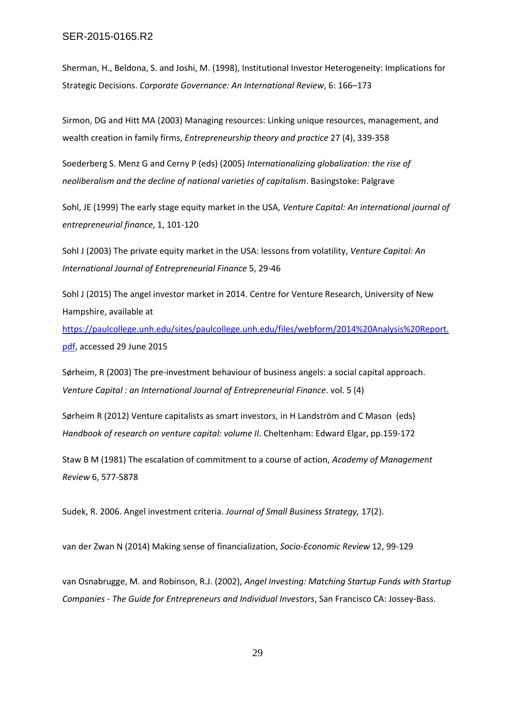Sherman, H., Beldona, S. and Joshi, M. (1998), Institutional Investor Heterogeneity: Implications for Strategic Decisions. *Corporate Governance: An International Review*, 6: 166–173

Sirmon, DG and Hitt MA (2003) Managing resources: Linking unique resources, management, and wealth creation in family firms, *Entrepreneurship theory and practice* 27 (4), 339-358

Soederberg S. Menz G and Cerny P (eds) (2005) *Internationalizing globalization: the rise of neoliberalism and the decline of national varieties of capitalism*. Basingstoke: Palgrave

Sohl, JE (1999) The early stage equity market in the USA, *Venture Capital: An international journal of entrepreneurial finance*, 1, 101-120

Sohl J (2003) The private equity market in the USA: lessons from volatility, *Venture Capital: An International Journal of Entrepreneurial Finance* 5, 29-46

Sohl J (2015) The angel investor market in 2014. Centre for Venture Research, University of New Hampshire, available at

[https://paulcollege.unh.edu/sites/paulcollege.unh.edu/files/webform/2014%20Analysis%20Report.](https://paulcollege.unh.edu/sites/paulcollege.unh.edu/files/webform/2014%20Analysis%20Report.pdf) [pdf,](https://paulcollege.unh.edu/sites/paulcollege.unh.edu/files/webform/2014%20Analysis%20Report.pdf) accessed 29 June 2015

Sørheim, R (2003) The pre-investment behaviour of business angels: a social capital approach. *Venture Capital : an International Journal of Entrepreneurial Finance*. vol. 5 (4)

Sørheim R (2012) Venture capitalists as smart investors, in H Landström and C Mason (eds) *Handbook of research on venture capital: volume II*. Cheltenham: Edward Elgar, pp.159-172

Staw B M (1981) The escalation of commitment to a course of action, *Academy of Management Review* 6, 577-5878

Sudek, R. 2006. Angel investment criteria. *Journal of Small Business Strategy,* 17(2).

van der Zwan N (2014) Making sense of financialization, *Socio-Economic Review* 12, 99-129

van Osnabrugge, M. and Robinson, R.J. (2002), *Angel Investing: Matching Startup Funds with Startup Companies - The Guide for Entrepreneurs and Individual Investors*, San Francisco CA: Jossey-Bass.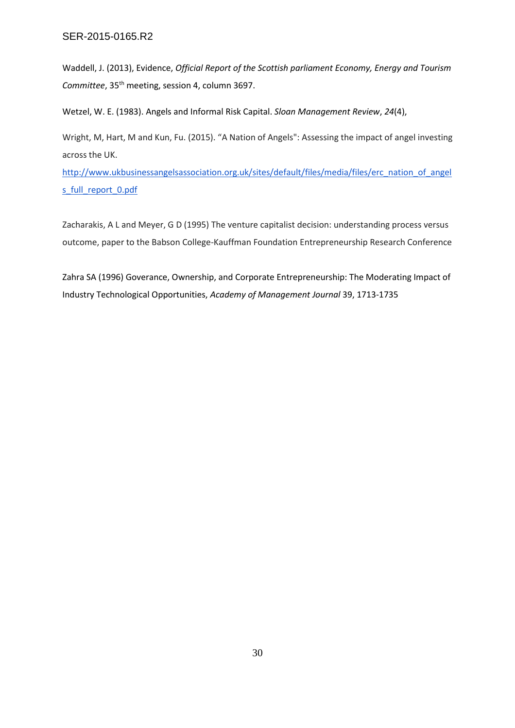Waddell, J. (2013), Evidence, *Official Report of the Scottish parliament Economy, Energy and Tourism Committee*, 35<sup>th</sup> meeting, session 4, column 3697.

Wetzel, W. E. (1983). Angels and Informal Risk Capital. *Sloan Management Review*, *24*(4),

Wright, M, Hart, M and Kun, Fu. (2015). "A Nation of Angels": Assessing the impact of angel investing across the UK.

[http://www.ukbusinessangelsassociation.org.uk/sites/default/files/media/files/erc\\_nation\\_of\\_angel](http://www.ukbusinessangelsassociation.org.uk/sites/default/files/media/files/erc_nation_of_angels_full_report_0.pdf) [s\\_full\\_report\\_0.pdf](http://www.ukbusinessangelsassociation.org.uk/sites/default/files/media/files/erc_nation_of_angels_full_report_0.pdf)

Zacharakis, A L and Meyer, G D (1995) The venture capitalist decision: understanding process versus outcome, paper to the Babson College-Kauffman Foundation Entrepreneurship Research Conference

Zahra SA (1996) Goverance, Ownership, and Corporate Entrepreneurship: The Moderating Impact of Industry Technological Opportunities, *Academy of Management Journal* 39, 1713-1735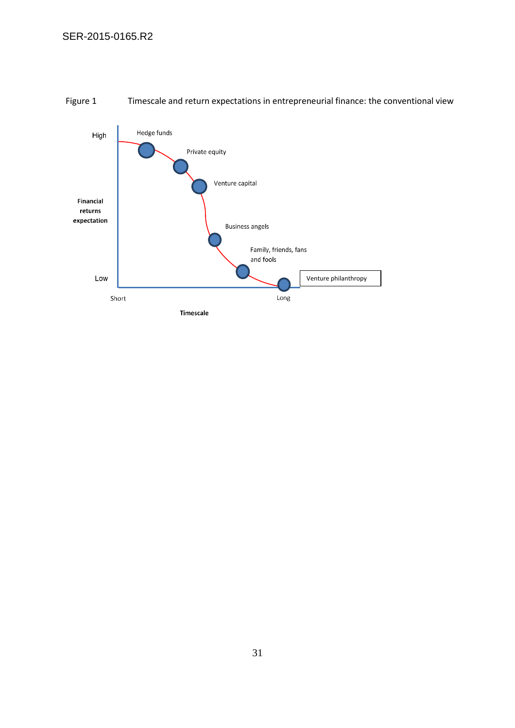

# Figure 1 Timescale and return expectations in entrepreneurial finance: the conventional view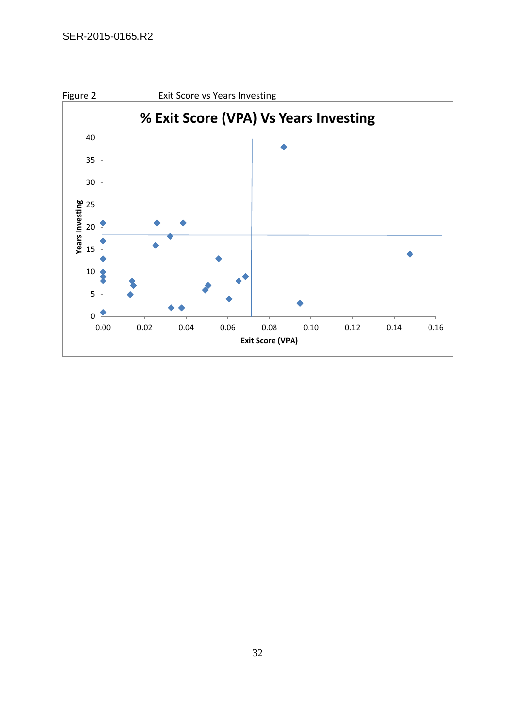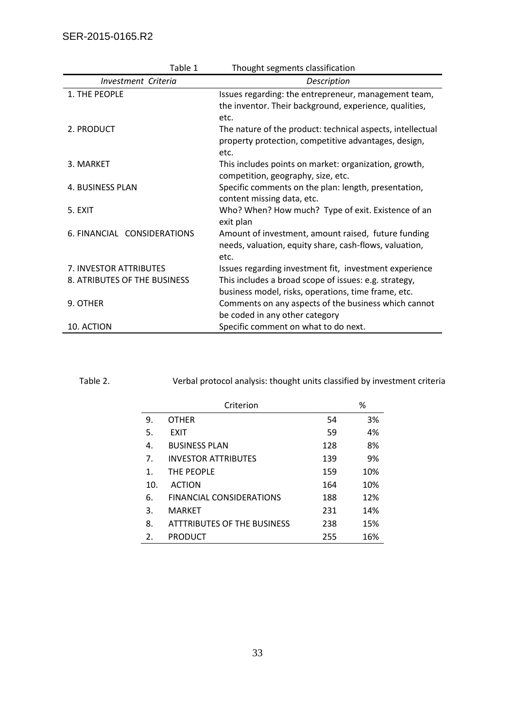| Table 1                      | Thought segments classification                            |  |
|------------------------------|------------------------------------------------------------|--|
| Investment Criteria          | Description                                                |  |
| 1. THE PEOPLE                | Issues regarding: the entrepreneur, management team,       |  |
|                              | the inventor. Their background, experience, qualities,     |  |
|                              | etc.                                                       |  |
| 2. PRODUCT                   | The nature of the product: technical aspects, intellectual |  |
|                              | property protection, competitive advantages, design,       |  |
|                              | etc.                                                       |  |
| 3. MARKET                    | This includes points on market: organization, growth,      |  |
|                              | competition, geography, size, etc.                         |  |
| 4. BUSINESS PLAN             | Specific comments on the plan: length, presentation,       |  |
|                              | content missing data, etc.                                 |  |
| 5. EXIT                      | Who? When? How much? Type of exit. Existence of an         |  |
|                              | exit plan                                                  |  |
| 6. FINANCIAL CONSIDERATIONS  | Amount of investment, amount raised, future funding        |  |
|                              | needs, valuation, equity share, cash-flows, valuation,     |  |
|                              | etc.                                                       |  |
| 7. INVESTOR ATTRIBUTES       | Issues regarding investment fit, investment experience     |  |
| 8. ATRIBUTES OF THE BUSINESS | This includes a broad scope of issues: e.g. strategy,      |  |
|                              | business model, risks, operations, time frame, etc.        |  |
| 9. OTHER                     | Comments on any aspects of the business which cannot       |  |
|                              | be coded in any other category                             |  |
| 10. ACTION                   | Specific comment on what to do next.                       |  |

Table 2. Verbal protocol analysis: thought units classified by investment criteria

| Criterion |                                    |     | %   |
|-----------|------------------------------------|-----|-----|
| 9.        | <b>OTHER</b>                       | 54  | 3%  |
| 5.        | <b>EXIT</b>                        | 59  | 4%  |
| 4.        | <b>BUSINESS PLAN</b>               | 128 | 8%  |
| 7.        | <b>INVESTOR ATTRIBUTES</b>         | 139 | 9%  |
| 1.        | THE PEOPLE                         | 159 | 10% |
| 10.       | <b>ACTION</b>                      | 164 | 10% |
| 6.        | <b>FINANCIAL CONSIDERATIONS</b>    | 188 | 12% |
| 3.        | <b>MARKET</b>                      | 231 | 14% |
| 8.        | <b>ATTTRIBUTES OF THE BUSINESS</b> | 238 | 15% |
| 2.        | <b>PRODUCT</b>                     | 255 | 16% |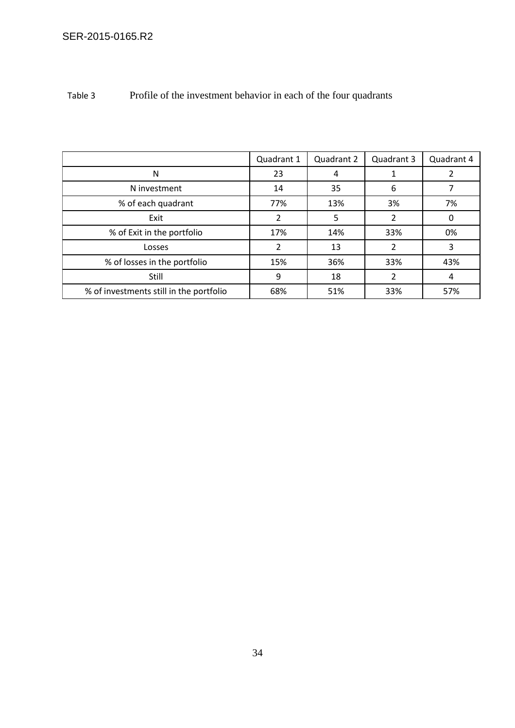# Table 3 Profile of the investment behavior in each of the four quadrants

|                                         | Quadrant 1 | Quadrant 2 | Quadrant 3 | Quadrant 4 |
|-----------------------------------------|------------|------------|------------|------------|
| N                                       | 23         | 4          |            |            |
| N investment                            | 14         | 35         | 6          |            |
| % of each quadrant                      | 77%        | 13%        | 3%         | 7%         |
| Exit                                    | 2          | 5          | 2          |            |
| % of Exit in the portfolio              | 17%        | 14%        | 33%        | 0%         |
| Losses                                  | 2          | 13         | 2          | 3          |
| % of losses in the portfolio            | 15%        | 36%        | 33%        | 43%        |
| Still                                   | 9          | 18         |            | 4          |
| % of investments still in the portfolio | 68%        | 51%        | 33%        | 57%        |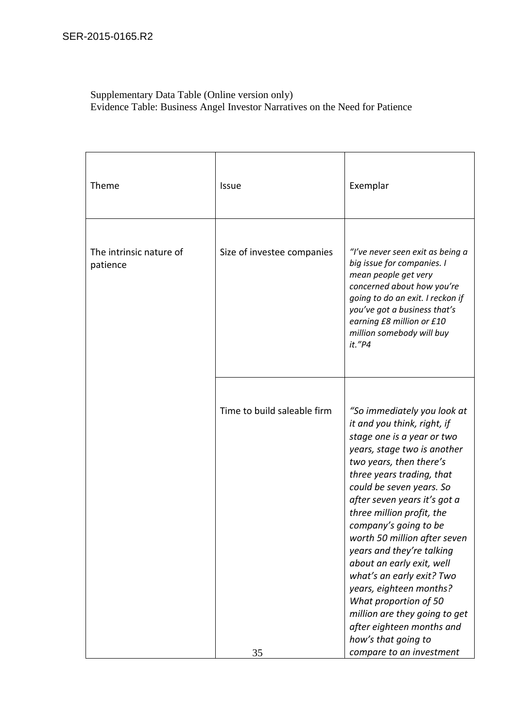# Supplementary Data Table (Online version only) Evidence Table: Business Angel Investor Narratives on the Need for Patience

| Theme                               | <b>Issue</b>                      | Exemplar                                                                                                                                                                                                                                                                                                                                                                                                                                                                                                                                                                                      |
|-------------------------------------|-----------------------------------|-----------------------------------------------------------------------------------------------------------------------------------------------------------------------------------------------------------------------------------------------------------------------------------------------------------------------------------------------------------------------------------------------------------------------------------------------------------------------------------------------------------------------------------------------------------------------------------------------|
| The intrinsic nature of<br>patience | Size of investee companies        | "I've never seen exit as being a<br>big issue for companies. I<br>mean people get very<br>concerned about how you're<br>going to do an exit. I reckon if<br>you've got a business that's<br>earning £8 million or £10<br>million somebody will buy<br>it."P4                                                                                                                                                                                                                                                                                                                                  |
|                                     | Time to build saleable firm<br>35 | "So immediately you look at<br>it and you think, right, if<br>stage one is a year or two<br>years, stage two is another<br>two years, then there's<br>three years trading, that<br>could be seven years. So<br>after seven years it's got a<br>three million profit, the<br>company's going to be<br>worth 50 million after seven<br>years and they're talking<br>about an early exit, well<br>what's an early exit? Two<br>years, eighteen months?<br>What proportion of 50<br>million are they going to get<br>after eighteen months and<br>how's that going to<br>compare to an investment |